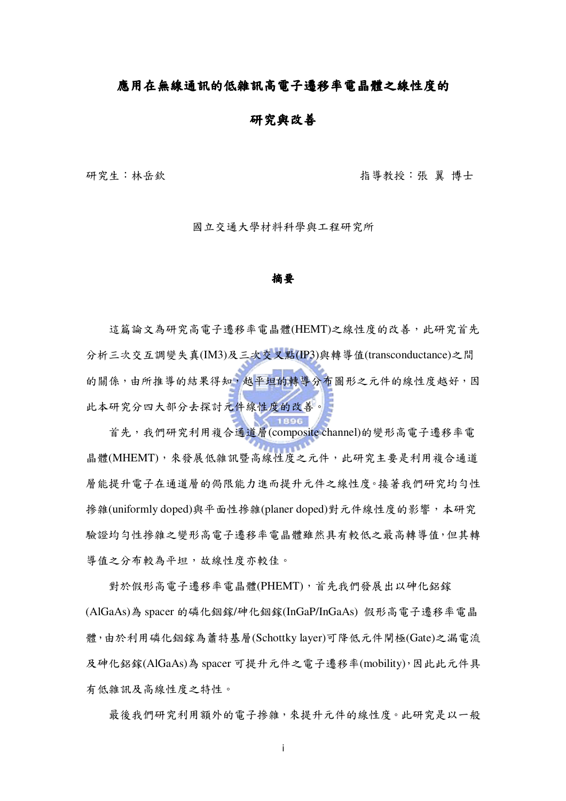#### 應用在無線通訊的低雜訊高電子遷移率電晶體之線性度的

#### 研究與改善

研究生:林岳欽

指導教授:張 翼 博士

國立交通大學材料科學與工程研究所

#### 摘要

這篇論文為研究高電子遷移率電晶體(HEMT)之線性度的改善,此研究首先 分析三次交互調變失真(IM3)及三次交叉點(IP3)與轉導值(transconductance)之間 的關係,由所推導的結果得知,越平坦的轉導分布圖形之元件的線性度越好,因 此本研究分四大部分去探討元件線性度的改善。

首先,我們研究利用複合通道層(composite channel)的變形高電子遷移率電 晶體(MHEMT),來發展低雜訊暨高線性度之元件,此研究主要是利用複合通道 層能提升電子在通道層的侷限能力進而提升元件之線性度。接著我們研究均勻性 掺雜(uniformly doped)與平面性掺雜(planer doped)對元件線性度的影響,本研究 驗證均勻性掺雜之變形高電子遷移率電晶體雖然具有較低之最高轉導值,但其轉 導值之分布較為平坦,故線性度亦較佳。

對於假形高電子遷移率電晶體(PHEMT),首先我們發展出以砷化鋁鎵 (AlGaAs)為 spacer 的磷化銦鎵/砷化銦鎵(InGaP/InGaAs) 假形高電子遷移率電晶 體,由於利用磷化銦鎵為蕭特基層(Schottky layer)可降低元件閘極(Gate)之漏電流 及砷化鋁鎵(AlGaAs)為 spacer 可提升元件之電子遷移率(mobility),因此此元件具 有低雜訊及高線性度之特性。

最後我們研究利用額外的電子摻雜,來提升元件的線性度。此研究是以一般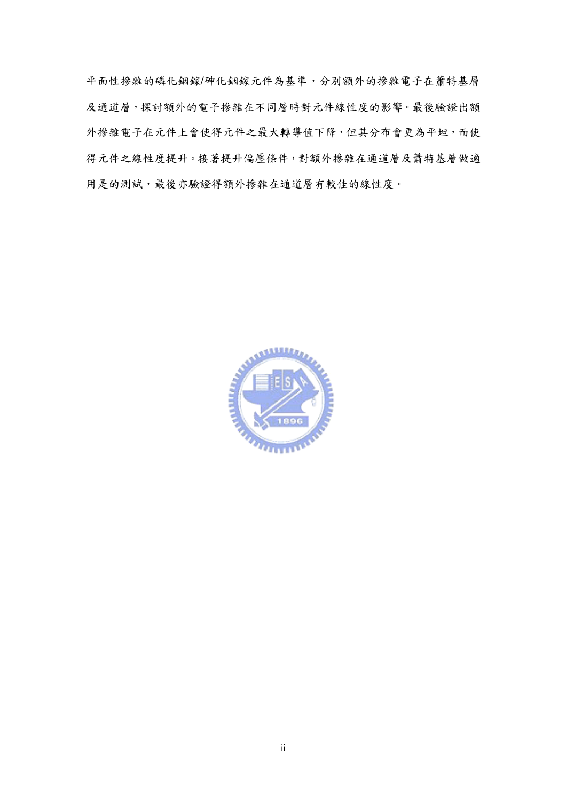平面性掺雜的磷化銦鎵/砷化銦鎵元件為基準,分別額外的掺雜電子在蕭特基層 及通道層,探討額外的電子摻雜在不同層時對元件線性度的影響。最後驗證出額 外掺雜電子在元件上會使得元件之最大轉導值下降,但其分布會更為平坦,而使 得元件之線性度提升。接著提升偏壓條件,對額外摻雜在通道層及蕭特基層做適 用是的測試,最後亦驗證得額外摻雜在通道層有較佳的線性度。

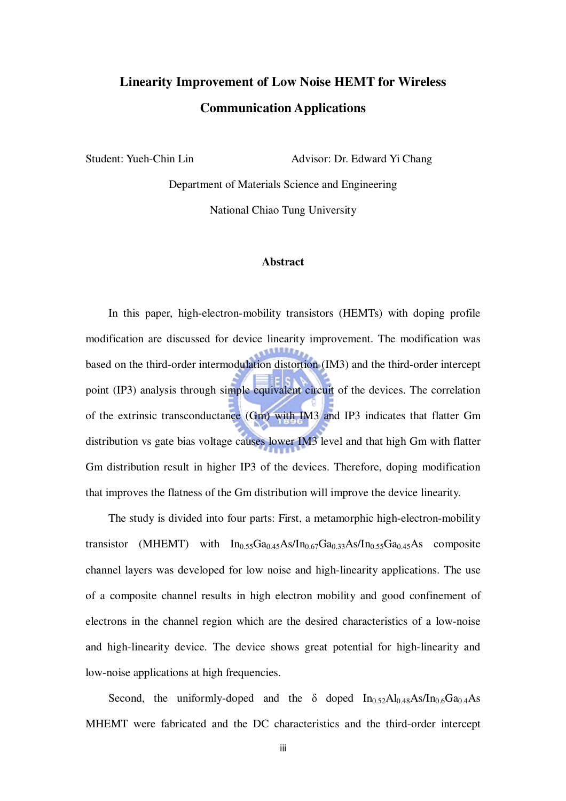# **Linearity Improvement of Low Noise HEMT for Wireless Communication Applications**

Student: Yueh-Chin Lin Advisor: Dr. Edward Yi Chang

Department of Materials Science and Engineering National Chiao Tung University

#### **Abstract**

In this paper, high-electron-mobility transistors (HEMTs) with doping profile modification are discussed for device linearity improvement. The modification was based on the third-order intermodulation distortion (IM3) and the third-order intercept point (IP3) analysis through simple equivalent circuit of the devices. The correlation of the extrinsic transconductance (Gm) with IM3 and IP3 indicates that flatter Gm distribution vs gate bias voltage causes lower IM3 level and that high Gm with flatter Gm distribution result in higher IP3 of the devices. Therefore, doping modification that improves the flatness of the Gm distribution will improve the device linearity.

The study is divided into four parts: First, a metamorphic high-electron-mobility transistor (MHEMT) with  $In<sub>0.55</sub>Ga<sub>0.45</sub>As/In<sub>0.67</sub>Ga<sub>0.33</sub>As/In<sub>0.55</sub>Ga<sub>0.45</sub>As$  composite channel layers was developed for low noise and high-linearity applications. The use of a composite channel results in high electron mobility and good confinement of electrons in the channel region which are the desired characteristics of a low-noise and high-linearity device. The device shows great potential for high-linearity and low-noise applications at high frequencies.

Second, the uniformly-doped and the  $\delta$  doped  $In_{0.52}Al_{0.48}As/In_{0.6}Ga_{0.4}As$ MHEMT were fabricated and the DC characteristics and the third-order intercept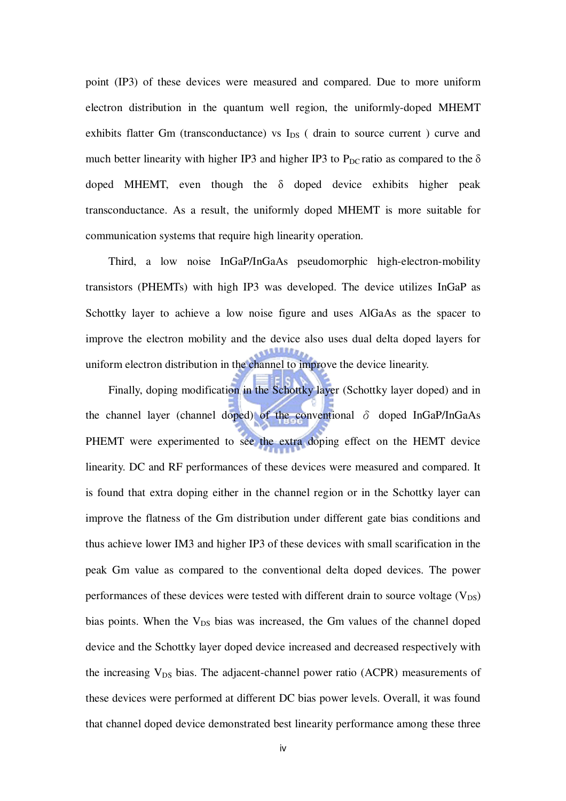point (IP3) of these devices were measured and compared. Due to more uniform electron distribution in the quantum well region, the uniformly-doped MHEMT exhibits flatter Gm (transconductance) vs  $I_{DS}$  (drain to source current ) curve and much better linearity with higher IP3 and higher IP3 to  $P_{DC}$  ratio as compared to the  $\delta$ doped MHEMT, even though the δ doped device exhibits higher peak transconductance. As a result, the uniformly doped MHEMT is more suitable for communication systems that require high linearity operation.

Third, a low noise InGaP/InGaAs pseudomorphic high-electron-mobility transistors (PHEMTs) with high IP3 was developed. The device utilizes InGaP as Schottky layer to achieve a low noise figure and uses AlGaAs as the spacer to improve the electron mobility and the device also uses dual delta doped layers for uniform electron distribution in the channel to improve the device linearity.

Finally, doping modification in the Schottky layer (Schottky layer doped) and in the channel layer (channel doped) of the conventional  $\delta$  doped InGaP/InGaAs PHEMT were experimented to see the extra doping effect on the HEMT device linearity. DC and RF performances of these devices were measured and compared. It is found that extra doping either in the channel region or in the Schottky layer can improve the flatness of the Gm distribution under different gate bias conditions and thus achieve lower IM3 and higher IP3 of these devices with small scarification in the peak Gm value as compared to the conventional delta doped devices. The power performances of these devices were tested with different drain to source voltage  $(V_{DS})$ bias points. When the  $V_{DS}$  bias was increased, the Gm values of the channel doped device and the Schottky layer doped device increased and decreased respectively with the increasing  $V_{DS}$  bias. The adjacent-channel power ratio (ACPR) measurements of these devices were performed at different DC bias power levels. Overall, it was found that channel doped device demonstrated best linearity performance among these three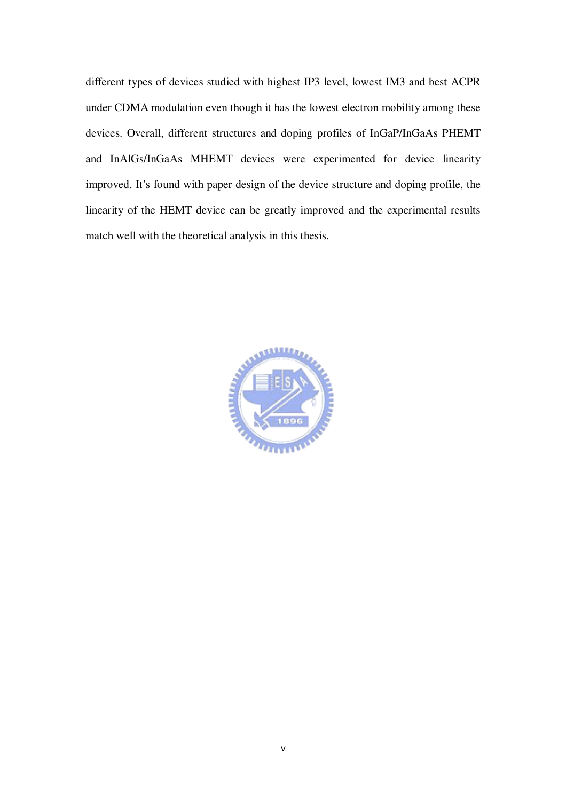different types of devices studied with highest IP3 level, lowest IM3 and best ACPR under CDMA modulation even though it has the lowest electron mobility among these devices. Overall, different structures and doping profiles of InGaP/InGaAs PHEMT and InAlGs/InGaAs MHEMT devices were experimented for device linearity improved. It's found with paper design of the device structure and doping profile, the linearity of the HEMT device can be greatly improved and the experimental results match well with the theoretical analysis in this thesis.

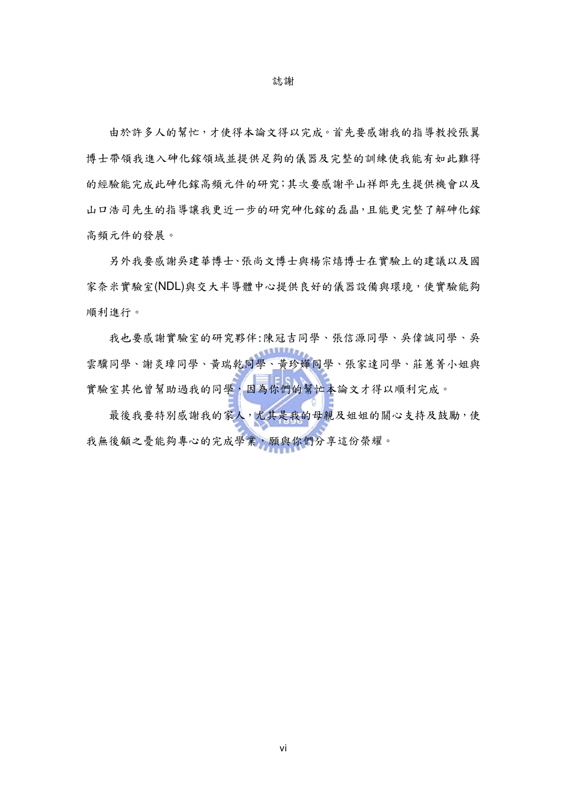誌謝

由於許多人的幫忙,才使得本論文得以完成。首先要感謝我的指導教授張翼 博士帶領我進入砷化鎵領域並提供足夠的儀器及完整的訓練使我能有如此難得 的經驗能完成此砷化鎵高頻元件的研究;其次要感謝平山祥郎先生提供機會以及 山口浩司先生的指導讓我更近一步的研究砷化鎵的磊晶,且能更完整了解砷化鎵 高頻元件的發展。

另外我要感謝吳建華博士、張尚文博士與楊宗熺博士在實驗上的建議以及國 家奈米實驗室(NDL)與交大半導體中心提供良好的儀器設備與環境,使實驗能夠 順利進行。

我也要感謝實驗室的研究夥伴:陳冠吉同學、張信源同學、吳偉誠同學、吳 **ALLES** 雲驥同學、謝炎璋同學、黃瑞乾同學、黃珍嬅同學、張家達同學、莊蕙菁小姐與 實驗室其他曾幫助過我的同學,因為你們的幫忙本論文才得以順利完成。

最後我要特別感謝我的家人,尤其是我的母親及姐姐的關心支持及鼓勵,使 我無後顧之憂能夠專心的完成學業,願與你們分享這份榮耀。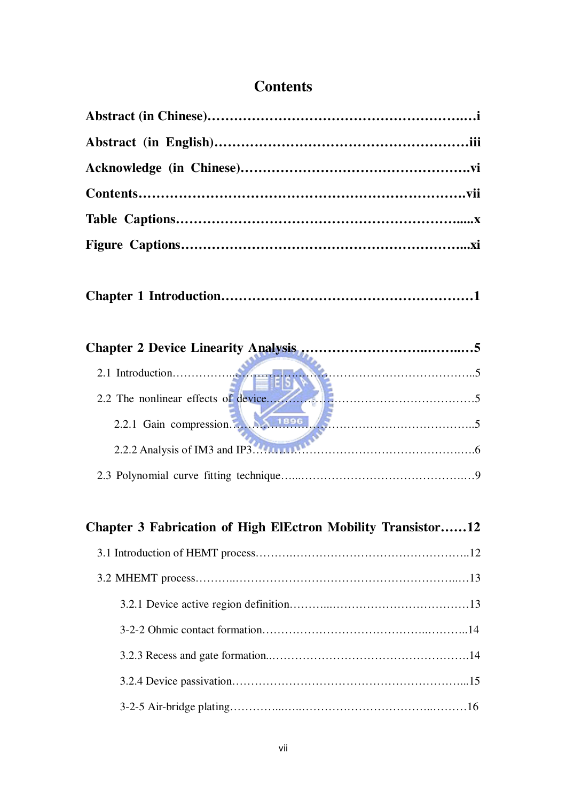### **Contents**

|--|--|

| 2.2.1 Gain compression. |  |
|-------------------------|--|
|                         |  |
|                         |  |

# **Chapter 3 Fabrication of High ElEctron Mobility Transistor……12** 3.1 Introduction of HEMT process……….………………………………………..12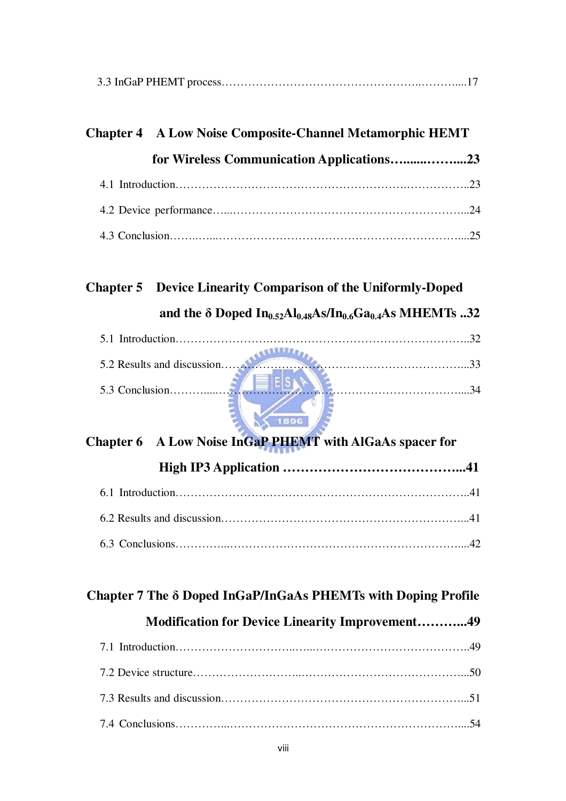|--|--|--|--|

| <b>Chapter 4</b> A Low Noise Composite-Channel Metamorphic HEMT |  |  |  |  |
|-----------------------------------------------------------------|--|--|--|--|
| for Wireless Communication Applications23                       |  |  |  |  |
|                                                                 |  |  |  |  |
|                                                                 |  |  |  |  |
|                                                                 |  |  |  |  |

# **Chapter 5 Device Linearity Comparison of the Uniformly-Doped and the** δ **Doped In0.52Al0.48As/In0.6Ga0.4As MHEMTs ..32**

| 5.2 Results and discussion |  |
|----------------------------|--|
|                            |  |
| 5.3 Conclusion             |  |
|                            |  |

# **Chapter 6 A Low Noise InGaP PHEMT with AlGaAs spacer for High IP3 Application …………………………………...41** 6.1 Introduction…………………….……………………………………………..41 6.2 Results and discussion 6.2 Results and discussion 6.2 Results and discussion

#### **Chapter 7 The** δ **Doped InGaP/InGaAs PHEMTs with Doping Profile**

#### **Modification for Device Linearity Improvement………...49**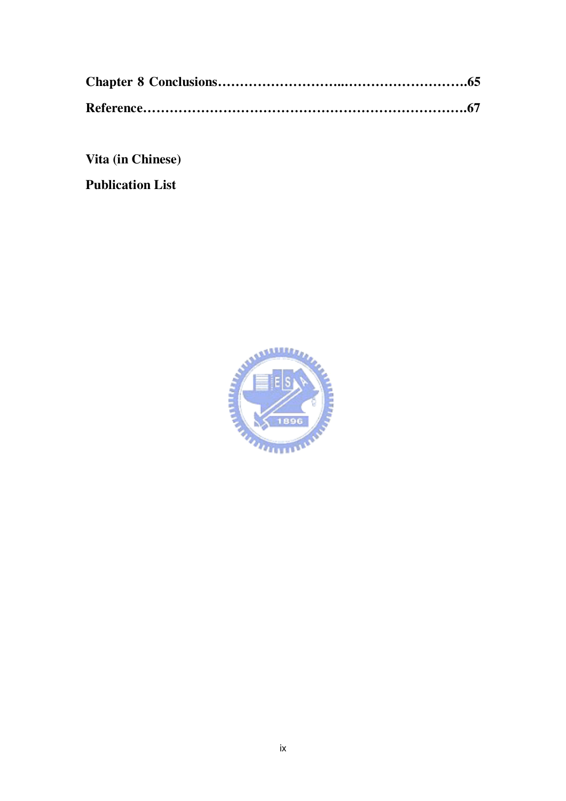**Vita (in Chinese)**

**Publication List**

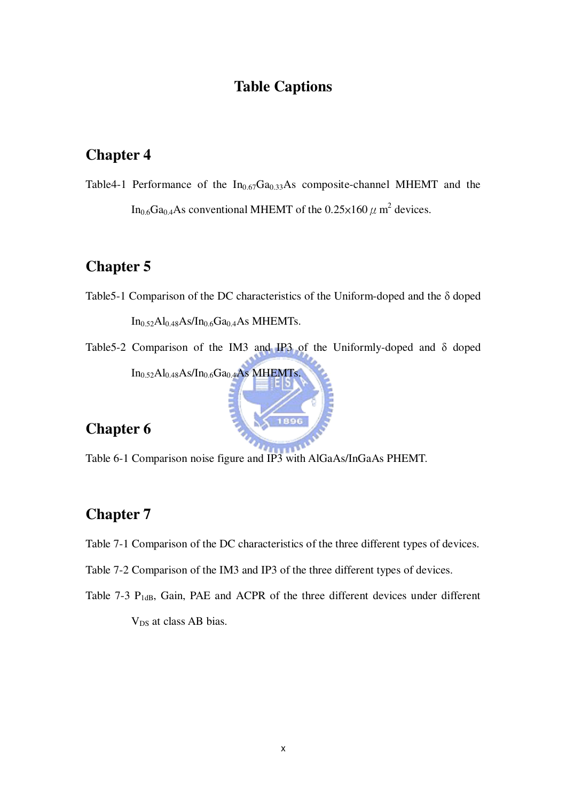### **Table Captions**

### **Chapter 4**

Table4-1 Performance of the  $In<sub>0.67</sub>Ga<sub>0.33</sub>As composite-channel MHEMT and the$ In<sub>0.6</sub>Ga<sub>0.4</sub>As conventional MHEMT of the 0.25 $\times$ 160  $\mu$  m<sup>2</sup> devices.

### **Chapter 5**

- Table5-1 Comparison of the DC characteristics of the Uniform-doped and the δ doped  $In_{0.52}Al_{0.48}As/In_{0.6}Ga_{0.4}As$  MHEMTs.
- Table5-2 Comparison of the IM3 and IP3 of the Uniformly-doped and δ doped In<sub>0.52</sub>Al<sub>0.48</sub>As/In<sub>0.6</sub>Ga<sub>0.4</sub>As MHEMTs.

## **Chapter 6**

**TILL** Table 6-1 Comparison noise figure and IP3 with AlGaAs/InGaAs PHEMT.

### **Chapter 7**

- Table 7-1 Comparison of the DC characteristics of the three different types of devices.
- Table 7-2 Comparison of the IM3 and IP3 of the three different types of devices.
- Table 7-3  $P_{1dB}$ , Gain, PAE and ACPR of the three different devices under different V<sub>DS</sub> at class AB bias.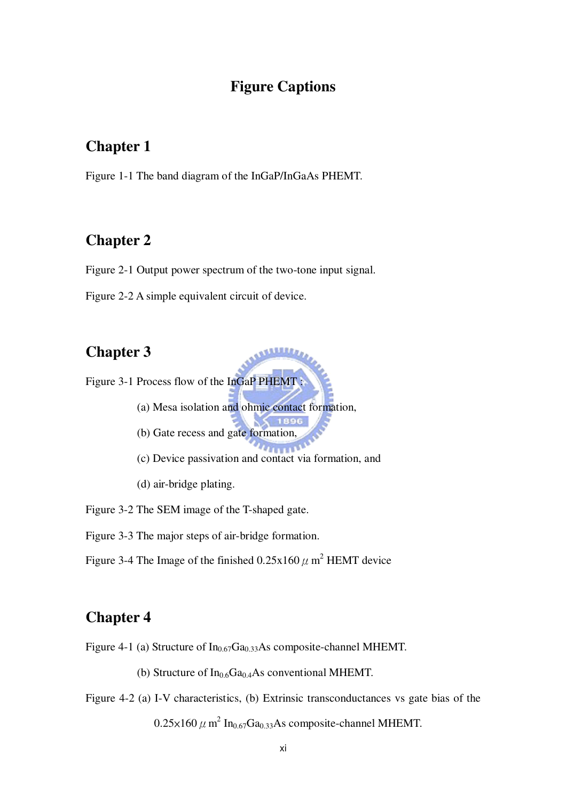#### **Figure Captions**

#### **Chapter 1**

Figure 1-1 The band diagram of the InGaP/InGaAs PHEMT.

#### **Chapter 2**

Figure 2-1 Output power spectrum of the two-tone input signal.

Figure 2-2 A simple equivalent circuit of device.

#### **Chapter 3**

Figure 3-1 Process flow of the InGaP PHEMT :

- (a) Mesa isolation and ohmic contact formation,
- (b) Gate recess and gate formation,
- $\overline{u}$
- (c) Device passivation and contact via formation, and
- (d) air-bridge plating.

Figure 3-2 The SEM image of the T-shaped gate.

Figure 3-3 The major steps of air-bridge formation.

Figure 3-4 The Image of the finished  $0.25x160 \mu$  m<sup>2</sup> HEMT device

#### **Chapter 4**

Figure 4-1 (a) Structure of  $In_{0.67}Ga_{0.33}As$  composite-channel MHEMT.

(b) Structure of  $In<sub>0.6</sub>Ga<sub>0.4</sub>As conventional MHEMT.$ 

Figure 4-2 (a) I-V characteristics, (b) Extrinsic transconductances vs gate bias of the  $0.25\times160$   $\mu$  m<sup>2</sup> In<sub>0.67</sub>Ga<sub>0.33</sub>As composite-channel MHEMT.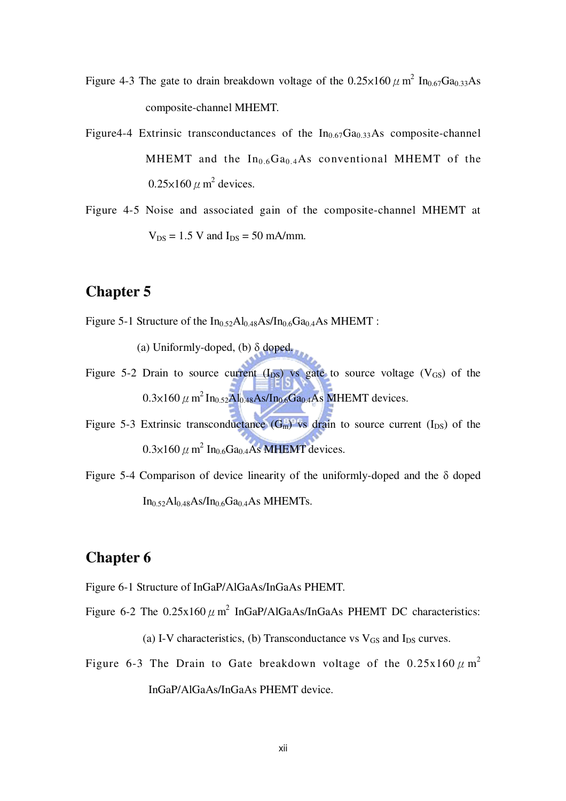- Figure 4-3 The gate to drain breakdown voltage of the  $0.25 \times 160 \mu$  m<sup>2</sup> In<sub>0.67</sub>Ga<sub>0.33</sub>As composite-channel MHEMT.
- Figure4-4 Extrinsic transconductances of the  $In_{0.67}Ga_{0.33}As$  composite-channel MHEMT and the  $In<sub>0.6</sub>Ga<sub>0.4</sub>As conventional MHEMT of the$  $0.25\times160 \ \mu \text{ m}^2$  devices.
- Figure 4-5 Noise and associated gain of the composite-channel MHEMT at  $V_{DS} = 1.5$  V and  $I_{DS} = 50$  mA/mm.

#### **Chapter 5**

Figure 5-1 Structure of the  $In_{0.52}Al_{0.48}As/In_{0.6}Ga_{0.4}As$  MHEMT :

(a) Uniformly-doped, (b) δ doped.

- Figure 5-2 Drain to source current  $(I_{DS})$  vs gate to source voltage  $(V_{GS})$  of the  $0.3\times160\,\mu$  m<sup>2</sup> In<sub>0.52</sub>Al<sub>0.48</sub>As/In<sub>0.6</sub>Ga<sub>0.4</sub>As MHEMT devices.
- Figure 5-3 Extrinsic transconductance  $(G<sub>m</sub>)$  vs drain to source current  $(I<sub>DS</sub>)$  of the  $0.3\times160$   $\mu$  m<sup>2</sup> In<sub>0.6</sub>Ga<sub>0.4</sub>As MHEMT devices.
- Figure 5-4 Comparison of device linearity of the uniformly-doped and the δ doped  $In_{0.52}Al_{0.48}As/In_{0.6}Ga_{0.4}As$  MHEMTs.

#### **Chapter 6**

- Figure 6-1 Structure of InGaP/AlGaAs/InGaAs PHEMT.
- Figure 6-2 The  $0.25x160 \mu$  m<sup>2</sup> InGaP/AlGaAs/InGaAs PHEMT DC characteristics:

(a) I-V characteristics, (b) Transconductance vs  $V_{GS}$  and  $I_{DS}$  curves.

Figure 6-3 The Drain to Gate breakdown voltage of the  $0.25x160 \mu m^2$ InGaP/AlGaAs/InGaAs PHEMT device.